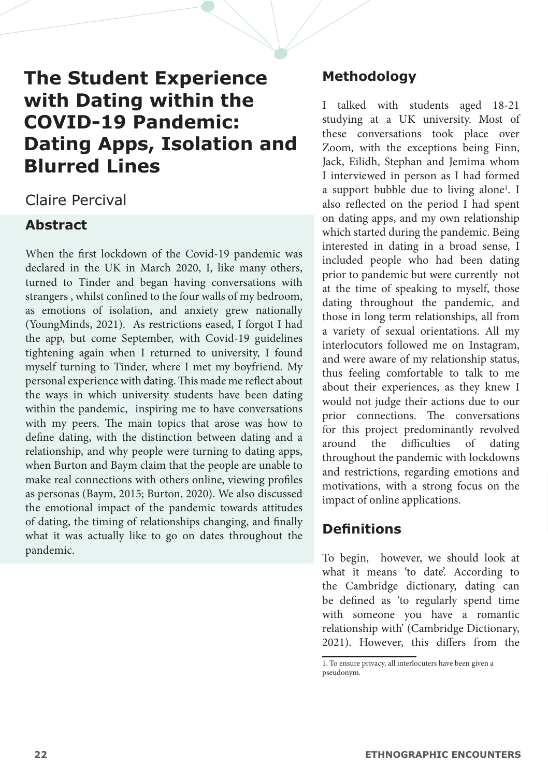# **The Student Experience with Dating within the COVID-19 Pandemic: Dating Apps, Isolation and Blurred Lines**

# Claire Percival

# **Abstract**

When the first lockdown of the Covid-19 pandemic was declared in the UK in March 2020, I, like many others, turned to Tinder and began having conversations with strangers , whilst confined to the four walls of my bedroom, as emotions of isolation, and anxiety grew nationally (YoungMinds, 2021). As restrictions eased, I forgot I had the app, but come September, with Covid-19 guidelines tightening again when I returned to university, I found myself turning to Tinder, where I met my boyfriend. My personal experience with dating. This made me reflect about the ways in which university students have been dating within the pandemic, inspiring me to have conversations with my peers. The main topics that arose was how to define dating, with the distinction between dating and a relationship, and why people were turning to dating apps, when Burton and Baym claim that the people are unable to make real connections with others online, viewing profiles as personas (Baym, 2015; Burton, 2020). We also discussed the emotional impact of the pandemic towards attitudes of dating, the timing of relationships changing, and finally what it was actually like to go on dates throughout the pandemic.

# **Methodology**

I talked with students aged 18-21 studying at a UK university. Most of these conversations took place over Zoom, with the exceptions being Finn, Jack, Eilidh, Stephan and Jemima whom I interviewed in person as I had formed a support bubble due to living alone<sup>1</sup>. I also reflected on the period I had spent on dating apps, and my own relationship which started during the pandemic. Being interested in dating in a broad sense, I included people who had been dating prior to pandemic but were currently not at the time of speaking to myself, those dating throughout the pandemic, and those in long term relationships, all from a variety of sexual orientations. All my interlocutors followed me on Instagram, and were aware of my relationship status, thus feeling comfortable to talk to me about their experiences, as they knew I would not judge their actions due to our prior connections. The conversations for this project predominantly revolved around the difficulties of dating throughout the pandemic with lockdowns and restrictions, regarding emotions and motivations, with a strong focus on the impact of online applications.

# **Definitions**

To begin, however, we should look at what it means 'to date'. According to the Cambridge dictionary, dating can be defined as 'to regularly spend time with someone you have a romantic relationship with' (Cambridge Dictionary, 2021). However, this differs from the

<sup>1.</sup> To ensure privacy, all interlocuters have been given a pseudonym.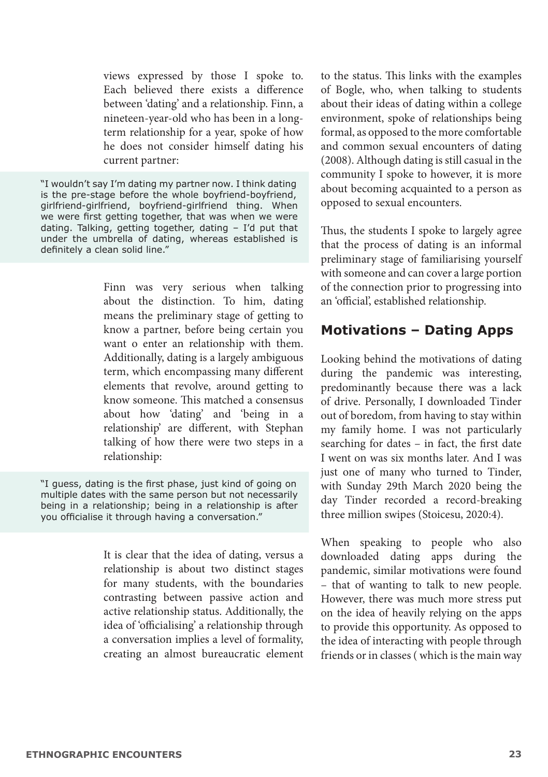views expressed by those I spoke to. Each believed there exists a difference between 'dating' and a relationship. Finn, a nineteen-year-old who has been in a longterm relationship for a year, spoke of how he does not consider himself dating his current partner:

"I wouldn't say I'm dating my partner now. I think dating is the pre-stage before the whole boyfriend-boyfriend, girlfriend-girlfriend, boyfriend-girlfriend thing. When we were first getting together, that was when we were dating. Talking, getting together, dating – I'd put that under the umbrella of dating, whereas established is definitely a clean solid line."

> Finn was very serious when talking about the distinction. To him, dating means the preliminary stage of getting to know a partner, before being certain you want o enter an relationship with them. Additionally, dating is a largely ambiguous term, which encompassing many different elements that revolve, around getting to know someone. This matched a consensus about how 'dating' and 'being in a relationship' are different, with Stephan talking of how there were two steps in a relationship:

"I guess, dating is the first phase, just kind of going on multiple dates with the same person but not necessarily being in a relationship; being in a relationship is after you officialise it through having a conversation."

> It is clear that the idea of dating, versus a relationship is about two distinct stages for many students, with the boundaries contrasting between passive action and active relationship status. Additionally, the idea of 'officialising' a relationship through a conversation implies a level of formality, creating an almost bureaucratic element

to the status. This links with the examples of Bogle, who, when talking to students about their ideas of dating within a college environment, spoke of relationships being formal, as opposed to the more comfortable and common sexual encounters of dating (2008). Although dating is still casual in the community I spoke to however, it is more about becoming acquainted to a person as opposed to sexual encounters.

Thus, the students I spoke to largely agree that the process of dating is an informal preliminary stage of familiarising yourself with someone and can cover a large portion of the connection prior to progressing into an 'official', established relationship.

#### **Motivations – Dating Apps**

Looking behind the motivations of dating during the pandemic was interesting, predominantly because there was a lack of drive. Personally, I downloaded Tinder out of boredom, from having to stay within my family home. I was not particularly searching for dates – in fact, the first date I went on was six months later. And I was just one of many who turned to Tinder, with Sunday 29th March 2020 being the day Tinder recorded a record-breaking three million swipes (Stoicesu, 2020:4).

When speaking to people who also downloaded dating apps during the pandemic, similar motivations were found – that of wanting to talk to new people. However, there was much more stress put on the idea of heavily relying on the apps to provide this opportunity. As opposed to the idea of interacting with people through friends or in classes ( which is the main way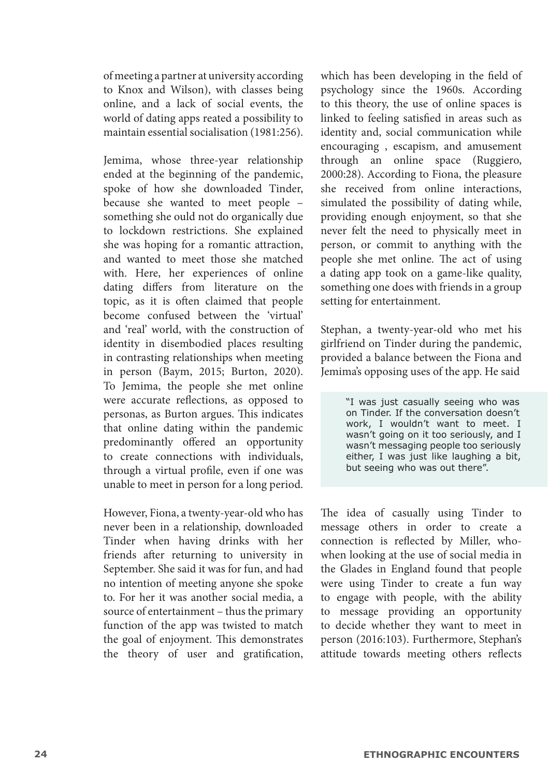of meeting a partner at university according to Knox and Wilson), with classes being online, and a lack of social events, the world of dating apps reated a possibility to maintain essential socialisation (1981:256).

Jemima, whose three-year relationship ended at the beginning of the pandemic, spoke of how she downloaded Tinder, because she wanted to meet people – something she ould not do organically due to lockdown restrictions. She explained she was hoping for a romantic attraction, and wanted to meet those she matched with. Here, her experiences of online dating differs from literature on the topic, as it is often claimed that people become confused between the 'virtual' and 'real' world, with the construction of identity in disembodied places resulting in contrasting relationships when meeting in person (Baym, 2015; Burton, 2020). To Jemima, the people she met online were accurate reflections, as opposed to personas, as Burton argues. This indicates that online dating within the pandemic predominantly offered an opportunity to create connections with individuals, through a virtual profile, even if one was unable to meet in person for a long period.

However, Fiona, a twenty-year-old who has never been in a relationship, downloaded Tinder when having drinks with her friends after returning to university in September. She said it was for fun, and had no intention of meeting anyone she spoke to. For her it was another social media, a source of entertainment – thus the primary function of the app was twisted to match the goal of enjoyment. This demonstrates the theory of user and gratification, which has been developing in the field of psychology since the 1960s. According to this theory, the use of online spaces is linked to feeling satisfied in areas such as identity and, social communication while encouraging , escapism, and amusement through an online space (Ruggiero, 2000:28). According to Fiona, the pleasure she received from online interactions, simulated the possibility of dating while, providing enough enjoyment, so that she never felt the need to physically meet in person, or commit to anything with the people she met online. The act of using a dating app took on a game-like quality, something one does with friends in a group setting for entertainment.

Stephan, a twenty-year-old who met his girlfriend on Tinder during the pandemic, provided a balance between the Fiona and Jemima's opposing uses of the app. He said

> "I was just casually seeing who was on Tinder. If the conversation doesn't work, I wouldn't want to meet. I wasn't going on it too seriously, and I wasn't messaging people too seriously either, I was just like laughing a bit, but seeing who was out there".

The idea of casually using Tinder to message others in order to create a connection is reflected by Miller, whowhen looking at the use of social media in the Glades in England found that people were using Tinder to create a fun way to engage with people, with the ability to message providing an opportunity to decide whether they want to meet in person (2016:103). Furthermore, Stephan's attitude towards meeting others reflects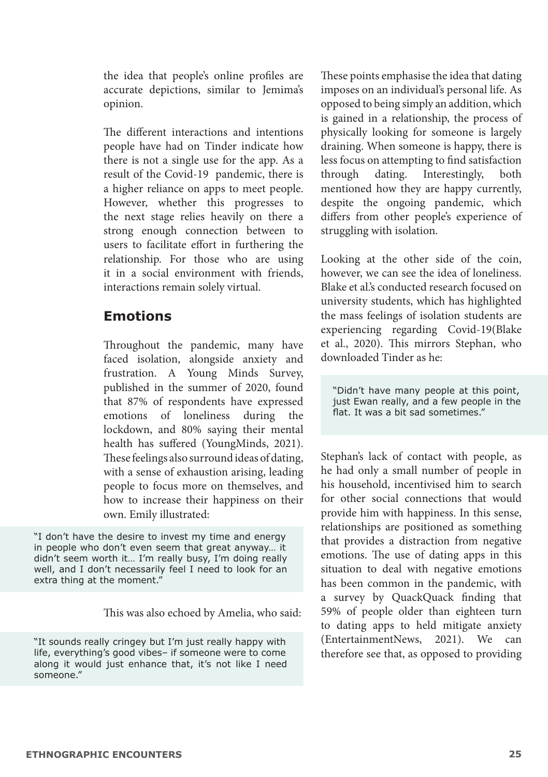the idea that people's online profiles are accurate depictions, similar to Jemima's opinion.

The different interactions and intentions people have had on Tinder indicate how there is not a single use for the app. As a result of the Covid-19 pandemic, there is a higher reliance on apps to meet people. However, whether this progresses to the next stage relies heavily on there a strong enough connection between to users to facilitate effort in furthering the relationship. For those who are using it in a social environment with friends, interactions remain solely virtual.

### **Emotions**

Throughout the pandemic, many have faced isolation, alongside anxiety and frustration. A Young Minds Survey, published in the summer of 2020, found that 87% of respondents have expressed emotions of loneliness during the lockdown, and 80% saying their mental health has suffered (YoungMinds, 2021). These feelings also surround ideas of dating, with a sense of exhaustion arising, leading people to focus more on themselves, and how to increase their happiness on their own. Emily illustrated:

"I don't have the desire to invest my time and energy in people who don't even seem that great anyway… it didn't seem worth it… I'm really busy, I'm doing really well, and I don't necessarily feel I need to look for an extra thing at the moment."

This was also echoed by Amelia, who said:

"It sounds really cringey but I'm just really happy with life, everything's good vibes– if someone were to come along it would just enhance that, it's not like I need someone."

These points emphasise the idea that dating imposes on an individual's personal life. As opposed to being simply an addition, which is gained in a relationship, the process of physically looking for someone is largely draining. When someone is happy, there is less focus on attempting to find satisfaction through dating. Interestingly, both mentioned how they are happy currently, despite the ongoing pandemic, which differs from other people's experience of struggling with isolation.

Looking at the other side of the coin, however, we can see the idea of loneliness. Blake et al.'s conducted research focused on university students, which has highlighted the mass feelings of isolation students are experiencing regarding Covid-19(Blake et al., 2020). This mirrors Stephan, who downloaded Tinder as he:

"Didn't have many people at this point, just Ewan really, and a few people in the flat. It was a bit sad sometimes."

Stephan's lack of contact with people, as he had only a small number of people in his household, incentivised him to search for other social connections that would provide him with happiness. In this sense, relationships are positioned as something that provides a distraction from negative emotions. The use of dating apps in this situation to deal with negative emotions has been common in the pandemic, with a survey by QuackQuack finding that 59% of people older than eighteen turn to dating apps to held mitigate anxiety (EntertainmentNews, 2021). We can therefore see that, as opposed to providing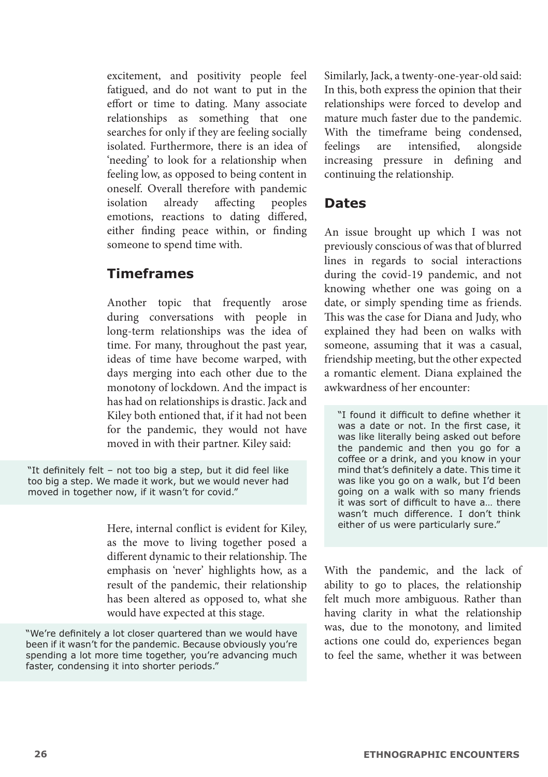excitement, and positivity people feel fatigued, and do not want to put in the effort or time to dating. Many associate relationships as something that one searches for only if they are feeling socially isolated. Furthermore, there is an idea of 'needing' to look for a relationship when feeling low, as opposed to being content in oneself. Overall therefore with pandemic<br>isolation already affecting peoples isolation already affecting emotions, reactions to dating differed, either finding peace within, or finding someone to spend time with.

#### **Timeframes**

Another topic that frequently arose during conversations with people in long-term relationships was the idea of time. For many, throughout the past year, ideas of time have become warped, with days merging into each other due to the monotony of lockdown. And the impact is has had on relationships is drastic. Jack and Kiley both entioned that, if it had not been for the pandemic, they would not have moved in with their partner. Kiley said:

"It definitely felt – not too big a step, but it did feel like too big a step. We made it work, but we would never had moved in together now, if it wasn't for covid."

> Here, internal conflict is evident for Kiley, as the move to living together posed a different dynamic to their relationship. The emphasis on 'never' highlights how, as a result of the pandemic, their relationship has been altered as opposed to, what she would have expected at this stage.

"We're definitely a lot closer quartered than we would have been if it wasn't for the pandemic. Because obviously you're spending a lot more time together, you're advancing much faster, condensing it into shorter periods."

Similarly, Jack, a twenty-one-year-old said: In this, both express the opinion that their relationships were forced to develop and mature much faster due to the pandemic. With the timeframe being condensed, feelings are intensified, alongside increasing pressure in defining and continuing the relationship.

#### **Dates**

An issue brought up which I was not previously conscious of was that of blurred lines in regards to social interactions during the covid-19 pandemic, and not knowing whether one was going on a date, or simply spending time as friends. This was the case for Diana and Judy, who explained they had been on walks with someone, assuming that it was a casual, friendship meeting, but the other expected a romantic element. Diana explained the awkwardness of her encounter:

"I found it difficult to define whether it was a date or not. In the first case, it was like literally being asked out before the pandemic and then you go for a coffee or a drink, and you know in your mind that's definitely a date. This time it was like you go on a walk, but I'd been going on a walk with so many friends it was sort of difficult to have a… there wasn't much difference. I don't think either of us were particularly sure."

With the pandemic, and the lack of ability to go to places, the relationship felt much more ambiguous. Rather than having clarity in what the relationship was, due to the monotony, and limited actions one could do, experiences began to feel the same, whether it was between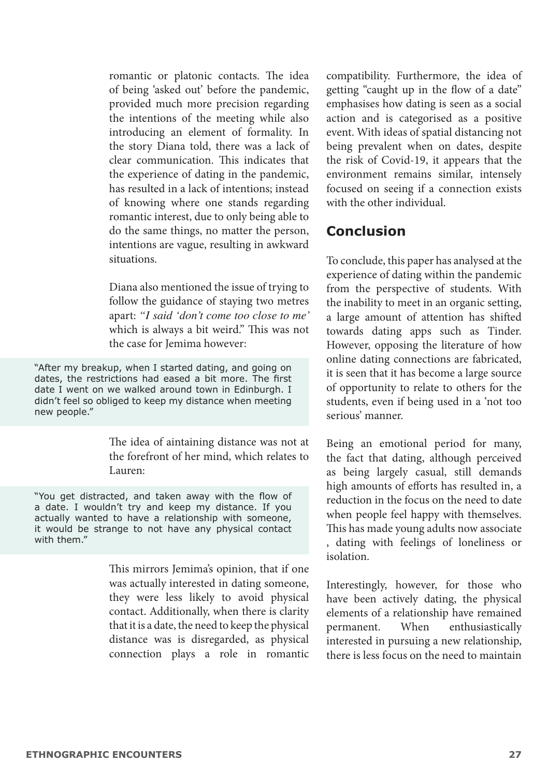romantic or platonic contacts. The idea of being 'asked out' before the pandemic, provided much more precision regarding the intentions of the meeting while also introducing an element of formality. In the story Diana told, there was a lack of clear communication. This indicates that the experience of dating in the pandemic, has resulted in a lack of intentions; instead of knowing where one stands regarding romantic interest, due to only being able to do the same things, no matter the person, intentions are vague, resulting in awkward situations.

Diana also mentioned the issue of trying to follow the guidance of staying two metres apart: *"I said 'don't come too close to me'*  which is always a bit weird." This was not the case for Jemima however:

"After my breakup, when I started dating, and going on dates, the restrictions had eased a bit more. The first date I went on we walked around town in Edinburgh. I didn't feel so obliged to keep my distance when meeting new people."

> The idea of aintaining distance was not at the forefront of her mind, which relates to Lauren:

"You get distracted, and taken away with the flow of a date. I wouldn't try and keep my distance. If you actually wanted to have a relationship with someone, it would be strange to not have any physical contact with them."

> This mirrors Jemima's opinion, that if one was actually interested in dating someone, they were less likely to avoid physical contact. Additionally, when there is clarity that it is a date, the need to keep the physical distance was is disregarded, as physical connection plays a role in romantic

compatibility. Furthermore, the idea of getting "caught up in the flow of a date" emphasises how dating is seen as a social action and is categorised as a positive event. With ideas of spatial distancing not being prevalent when on dates, despite the risk of Covid-19, it appears that the environment remains similar, intensely focused on seeing if a connection exists with the other individual.

#### **Conclusion**

To conclude, this paper has analysed at the experience of dating within the pandemic from the perspective of students. With the inability to meet in an organic setting, a large amount of attention has shifted towards dating apps such as Tinder. However, opposing the literature of how online dating connections are fabricated, it is seen that it has become a large source of opportunity to relate to others for the students, even if being used in a 'not too serious' manner.

Being an emotional period for many, the fact that dating, although perceived as being largely casual, still demands high amounts of efforts has resulted in, a reduction in the focus on the need to date when people feel happy with themselves. This has made young adults now associate , dating with feelings of loneliness or isolation.

Interestingly, however, for those who have been actively dating, the physical elements of a relationship have remained permanent. When enthusiastically interested in pursuing a new relationship, there is less focus on the need to maintain